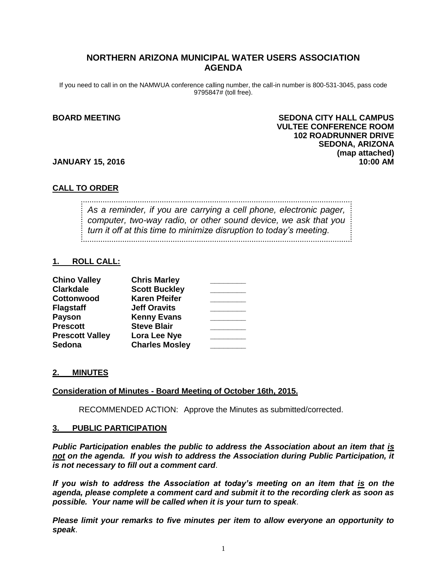# **NORTHERN ARIZONA MUNICIPAL WATER USERS ASSOCIATION AGENDA**

If you need to call in on the NAMWUA conference calling number, the call-in number is 800-531-3045, pass code 9795847# (toll free).

# **BOARD MEETING SEDONA CITY HALL CAMPUS VULTEE CONFERENCE ROOM 102 ROADRUNNER DRIVE SEDONA, ARIZONA (map attached)**

### **JANUARY 15, 2016 10:00 AM**

## **CALL TO ORDER**

*As a reminder, if you are carrying a cell phone, electronic pager, computer, two-way radio, or other sound device, we ask that you turn it off at this time to minimize disruption to today's meeting.*

## **1. ROLL CALL:**

| <b>Chino Valley</b>    | <b>Chris Marley</b>   |  |
|------------------------|-----------------------|--|
| <b>Clarkdale</b>       | <b>Scott Buckley</b>  |  |
| Cottonwood             | <b>Karen Pfeifer</b>  |  |
| <b>Flagstaff</b>       | <b>Jeff Oravits</b>   |  |
| <b>Payson</b>          | <b>Kenny Evans</b>    |  |
| <b>Prescott</b>        | <b>Steve Blair</b>    |  |
| <b>Prescott Valley</b> | Lora Lee Nye          |  |
| Sedona                 | <b>Charles Mosley</b> |  |

#### **2. MINUTES**

#### **Consideration of Minutes - Board Meeting of October 16th, 2015.**

RECOMMENDED ACTION: Approve the Minutes as submitted/corrected.

#### **3. PUBLIC PARTICIPATION**

*Public Participation enables the public to address the Association about an item that is not on the agenda. If you wish to address the Association during Public Participation, it is not necessary to fill out a comment card*.

*If you wish to address the Association at today's meeting on an item that is on the agenda, please complete a comment card and submit it to the recording clerk as soon as possible. Your name will be called when it is your turn to speak*.

*Please limit your remarks to five minutes per item to allow everyone an opportunity to speak*.